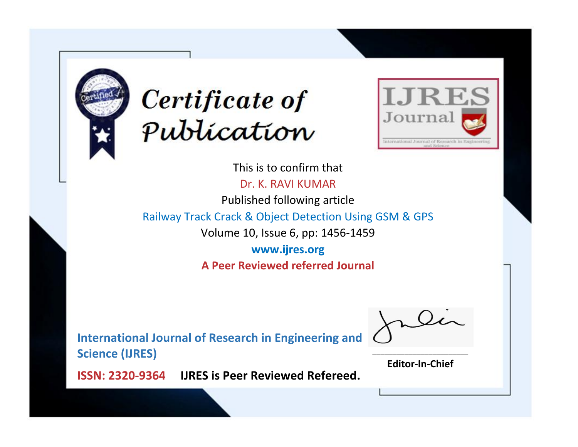



This is to confirm that Dr. K. RAVI KUMAR Published following article Railway Track Crack & Object Detection Using GSM & GPS Volume 10, Issue 6, pp: 1456-1459 **www.ijres.org A Peer Reviewed referred Journal**

**International Journal of Research in Engineering and Science (IJRES)**

\_\_\_\_\_\_\_\_\_\_\_\_\_\_\_\_\_\_\_\_\_\_\_\_ **Editor-In-Chief**

**Journal.**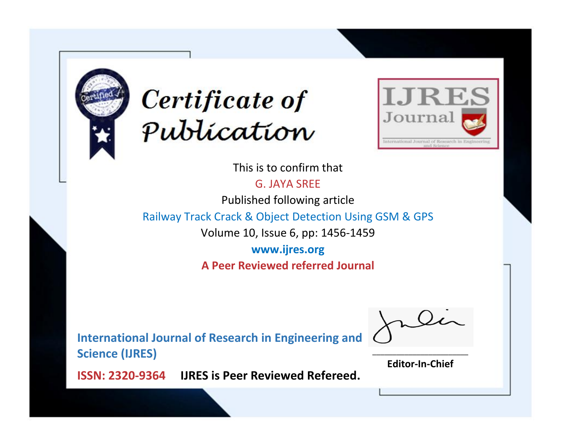



This is to confirm that

G. JAYA SREE

Published following article

Railway Track Crack & Object Detection Using GSM & GPS

Volume 10, Issue 6, pp: 1456-1459

**www.ijres.org A Peer Reviewed referred Journal**

**International Journal of Research in Engineering and Science (IJRES)**

\_\_\_\_\_\_\_\_\_\_\_\_\_\_\_\_\_\_\_\_\_\_\_\_ **Editor-In-Chief**

**Journal.**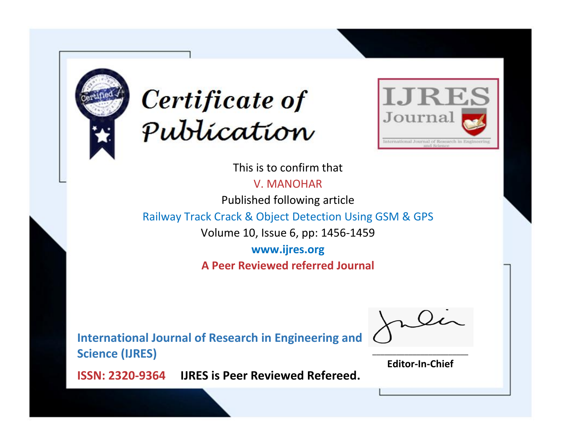



This is to confirm that

V. MANOHAR

Published following article

Railway Track Crack & Object Detection Using GSM & GPS

Volume 10, Issue 6, pp: 1456-1459

**www.ijres.org A Peer Reviewed referred Journal**

**International Journal of Research in Engineering and Science (IJRES)**

\_\_\_\_\_\_\_\_\_\_\_\_\_\_\_\_\_\_\_\_\_\_\_\_ **Editor-In-Chief**

**Journal.**